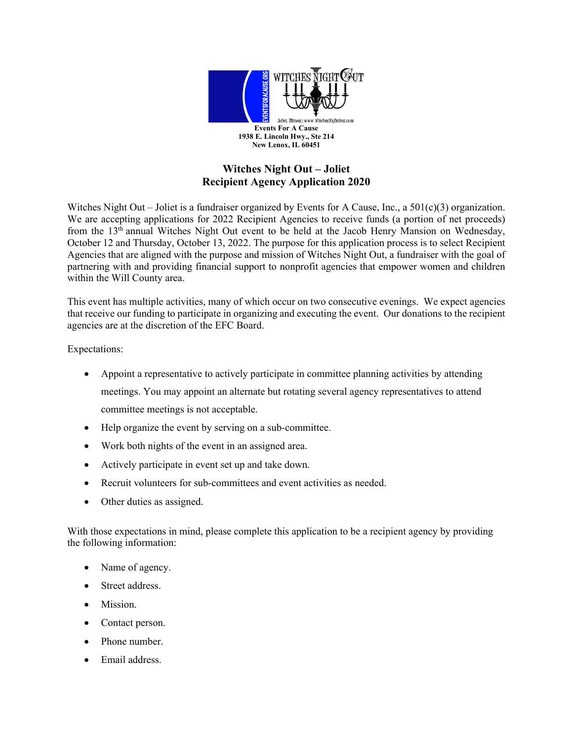

## **Witches Night Out – Joliet Recipient Agency Application 2020**

Witches Night Out – Joliet is a fundraiser organized by Events for A Cause, Inc., a  $501(c)(3)$  organization. We are accepting applications for 2022 Recipient Agencies to receive funds (a portion of net proceeds) from the 13th annual Witches Night Out event to be held at the Jacob Henry Mansion on Wednesday, October 12 and Thursday, October 13, 2022. The purpose for this application process is to select Recipient Agencies that are aligned with the purpose and mission of Witches Night Out, a fundraiser with the goal of partnering with and providing financial support to nonprofit agencies that empower women and children within the Will County area.

This event has multiple activities, many of which occur on two consecutive evenings. We expect agencies that receive our funding to participate in organizing and executing the event. Our donations to the recipient agencies are at the discretion of the EFC Board.

## Expectations:

- Appoint a representative to actively participate in committee planning activities by attending meetings. You may appoint an alternate but rotating several agency representatives to attend committee meetings is not acceptable.
- Help organize the event by serving on a sub-committee.
- Work both nights of the event in an assigned area.
- Actively participate in event set up and take down.
- Recruit volunteers for sub-committees and event activities as needed.
- Other duties as assigned.

With those expectations in mind, please complete this application to be a recipient agency by providing the following information:

- Name of agency.
- Street address.
- Mission.
- Contact person.
- Phone number.
- Email address.